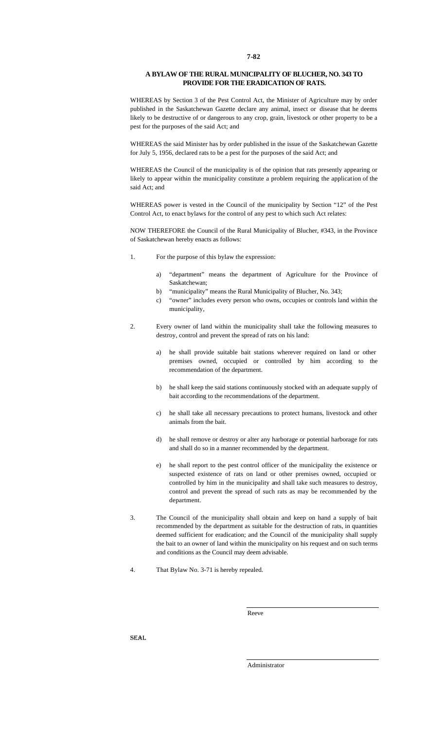## **A BYLAW OF THE RURAL MUNICIPALITY OF BLUCHER, NO. 343 TO PROVIDE FOR THE ERADICATION OF RATS.**

WHEREAS by Section 3 of the Pest Control Act, the Minister of Agriculture may by order published in the Saskatchewan Gazette declare any animal, insect or disease that he deems likely to be destructive of or dangerous to any crop, grain, livestock or other property to be a pest for the purposes of the said Act; and

WHEREAS the said Minister has by order published in the issue of the Saskatchewan Gazette for July 5, 1956, declared rats to be a pest for the purposes of the said Act; and

WHEREAS the Council of the municipality is of the opinion that rats presently appearing or likely to appear within the municipality constitute a problem requiring the application of the said Act; and

WHEREAS power is vested in the Council of the municipality by Section "12" of the Pest Control Act, to enact bylaws for the control of any pest to which such Act relates:

NOW THEREFORE the Council of the Rural Municipality of Blucher, #343, in the Province of Saskatchewan hereby enacts as follows:

- 1. For the purpose of this bylaw the expression:
	- a) "department" means the department of Agriculture for the Province of Saskatchewan;
	- b) "municipality" means the Rural Municipality of Blucher, No. 343;
	- c) "owner" includes every person who owns, occupies or controls land within the municipality,
- 2. Every owner of land within the municipality shall take the following measures to destroy, control and prevent the spread of rats on his land:
	- he shall provide suitable bait stations wherever required on land or other premises owned, occupied or controlled by him according to the recommendation of the department.
	- b) he shall keep the said stations continuously stocked with an adequate supply of bait according to the recommendations of the department.
	- c) he shall take all necessary precautions to protect humans, livestock and other animals from the bait.
	- d) he shall remove or destroy or alter any harborage or potential harborage for rats and shall do so in a manner recommended by the department.
	- e) he shall report to the pest control officer of the municipality the existence or suspected existence of rats on land or other premises owned, occupied or controlled by him in the municipality and shall take such measures to destroy, control and prevent the spread of such rats as may be recommended by the department.
- 3. The Council of the municipality shall obtain and keep on hand a supply of bait recommended by the department as suitable for the destruction of rats, in quantities deemed sufficient for eradication; and the Council of the municipality shall supply the bait to an owner of land within the municipality on his request and on such terms and conditions as the Council may deem advisable.
- 4. That Bylaw No. 3-71 is hereby repealed.

Reeve

SEAL

Administrator